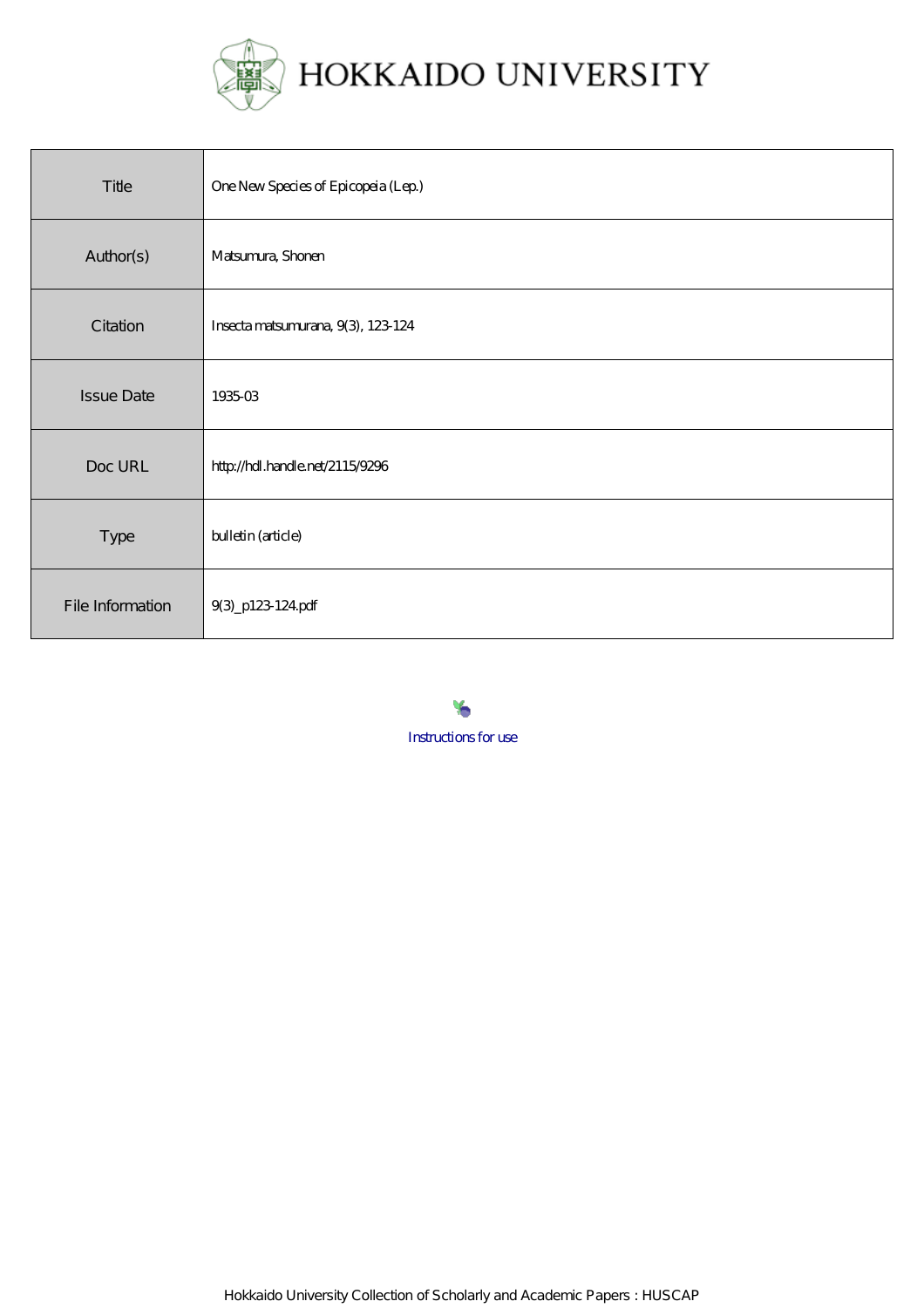

| Title             | One New Species of Epicopeia (Lep.) |
|-------------------|-------------------------------------|
| Author(s)         | Matsunura, Shonen                   |
| Citation          | Insecta matsumurana, 9(3), 123-124  |
| <b>Issue Date</b> | 193503                              |
| Doc URL           | http://hdl.handle.net/2115/9296     |
| Type              | bulletin (article)                  |
| File Information  | 9(3)_p123-124pdf                    |

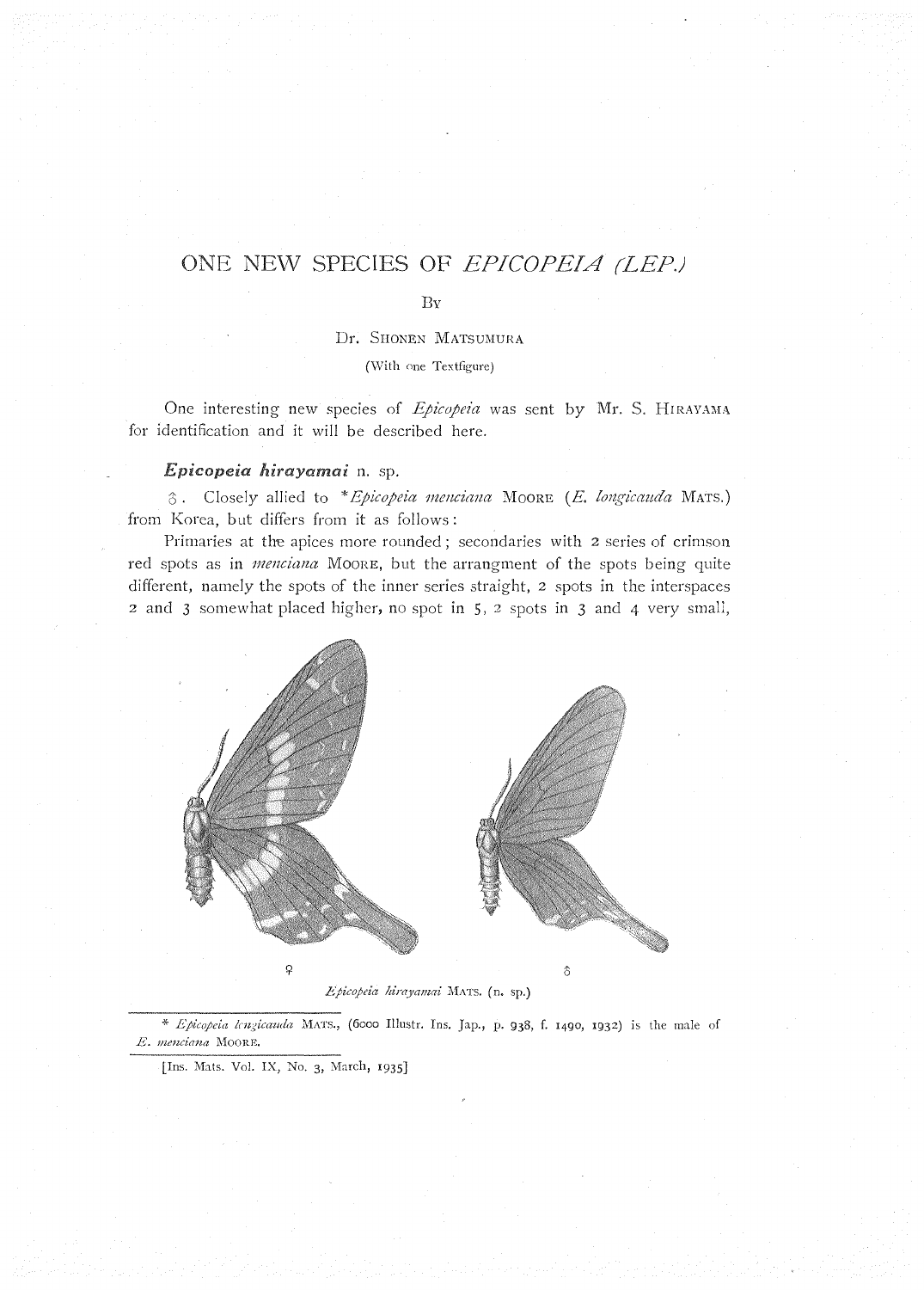## ONE NEW SPECIES OF EPICOPEIA (LEP.)

 $\overline{\mathrm{Bv}}$ 

Dr. Shonen MATSUMURA

(With one Textfigure)

One interesting new species of *Epicopeia* was sent by Mr. S. HIRAYAMA for identification and it will be described here.

## *Epicopeia hirayamai* n. sp.

 $\delta$ . Closely allied to \* *Epicopeia menciana* Moore *(E. longicauda MATS.)* from Korea, but differs from it as follows:

Primaries at the apices more rounded; secondaries with 2 series of crimson red spots as in *menciana* MOORE, but the arrangment of the spots being quite different, namely the spots of the inner series straight, 2 spots in the interspaces 2 and 3 somewhat placed higher, no spot in 5, 2 spots in 3 and 4 very small,



*.Epicopeia hirayamai* MATS. (n. sr.)

\* *Epicopeia lengicauda* MATS., (6000 Illustr. Ins. Jap., p. 938, f. 1490, 1932) is the male of  $E.$  menciana MOORE.

[Ins. Mats. Vol. IX, No. 3, March, 1935]